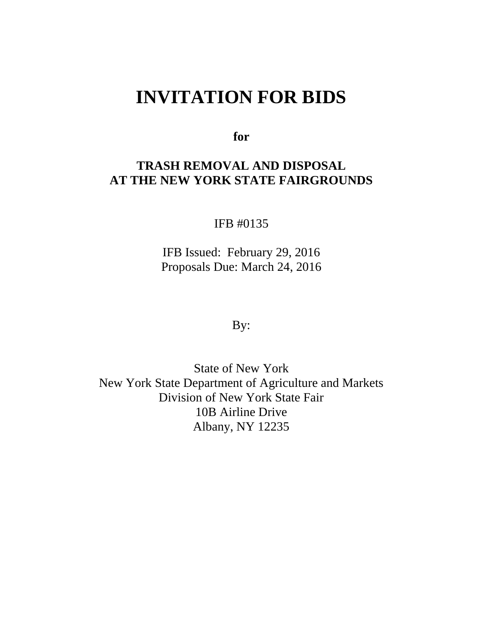# **INVITATION FOR BIDS**

**for**

## **TRASH REMOVAL AND DISPOSAL AT THE NEW YORK STATE FAIRGROUNDS**

IFB #0135

IFB Issued: February 29, 2016 Proposals Due: March 24, 2016

By:

State of New York New York State Department of Agriculture and Markets Division of New York State Fair 10B Airline Drive Albany, NY 12235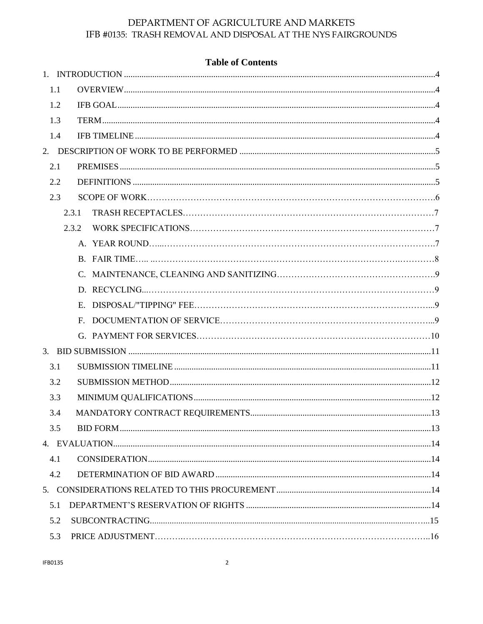|     | <b>Table of Contents</b> |  |
|-----|--------------------------|--|
|     |                          |  |
| 1.1 |                          |  |
| 1.2 |                          |  |
| 1.3 |                          |  |
| 1.4 |                          |  |
|     |                          |  |
| 2.1 |                          |  |
| 2.2 |                          |  |
| 2.3 |                          |  |
|     | 2.3.1                    |  |
|     | 2.3.2                    |  |
|     |                          |  |
|     |                          |  |
|     |                          |  |
|     |                          |  |
|     |                          |  |
|     |                          |  |
|     |                          |  |
|     |                          |  |
| 3.1 |                          |  |
| 3.2 |                          |  |
| 3.3 |                          |  |
| 3.4 |                          |  |
| 3.5 |                          |  |
|     |                          |  |
| 4.1 |                          |  |
| 4.2 |                          |  |
|     |                          |  |
| 5.1 |                          |  |
| 5.2 |                          |  |
| 5.3 |                          |  |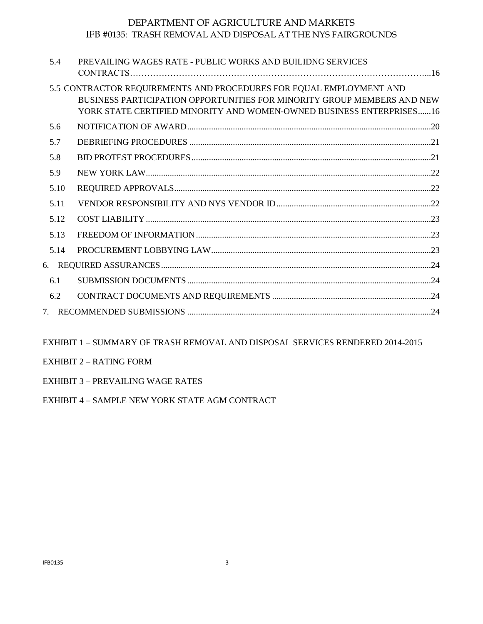| PREVAILING WAGES RATE - PUBLIC WORKS AND BUILIDNG SERVICES                                                                                                                                                             |  |  |
|------------------------------------------------------------------------------------------------------------------------------------------------------------------------------------------------------------------------|--|--|
| 5.5 CONTRACTOR REQUIREMENTS AND PROCEDURES FOR EQUAL EMPLOYMENT AND<br>BUSINESS PARTICIPATION OPPORTUNITIES FOR MINORITY GROUP MEMBERS AND NEW<br>YORK STATE CERTIFIED MINORITY AND WOMEN-OWNED BUSINESS ENTERPRISES16 |  |  |
|                                                                                                                                                                                                                        |  |  |
|                                                                                                                                                                                                                        |  |  |
|                                                                                                                                                                                                                        |  |  |
|                                                                                                                                                                                                                        |  |  |
|                                                                                                                                                                                                                        |  |  |
|                                                                                                                                                                                                                        |  |  |
|                                                                                                                                                                                                                        |  |  |
|                                                                                                                                                                                                                        |  |  |
|                                                                                                                                                                                                                        |  |  |
|                                                                                                                                                                                                                        |  |  |
|                                                                                                                                                                                                                        |  |  |
|                                                                                                                                                                                                                        |  |  |
|                                                                                                                                                                                                                        |  |  |
|                                                                                                                                                                                                                        |  |  |

EXHIBIT 1 – SUMMARY OF TRASH REMOVAL AND DISPOSAL SERVICES RENDERED 2014-2015

- EXHIBIT 2 RATING FORM
- EXHIBIT 3 PREVAILING WAGE RATES

EXHIBIT 4 – SAMPLE NEW YORK STATE AGM CONTRACT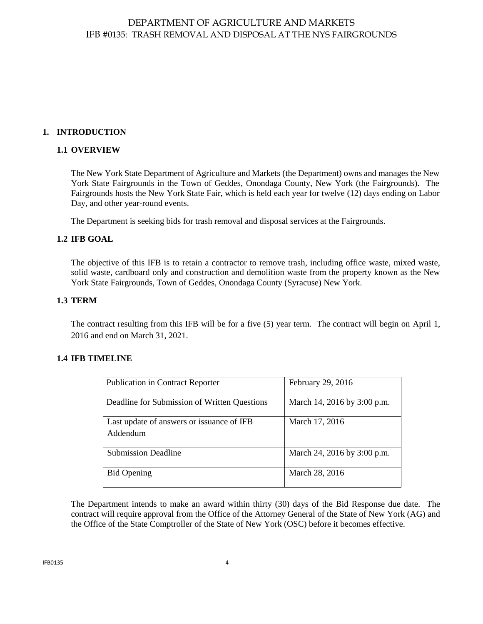## <span id="page-3-1"></span><span id="page-3-0"></span>**1. INTRODUCTION**

## **1.1 OVERVIEW**

The New York State Department of Agriculture and Markets (the Department) owns and manages the New York State Fairgrounds in the Town of Geddes, Onondaga County, New York (the Fairgrounds). The Fairgrounds hosts the New York State Fair, which is held each year for twelve (12) days ending on Labor Day, and other year-round events.

The Department is seeking bids for trash removal and disposal services at the Fairgrounds.

#### <span id="page-3-2"></span>**1.2 IFB GOAL**

The objective of this IFB is to retain a contractor to remove trash, including office waste, mixed waste, solid waste, cardboard only and construction and demolition waste from the property known as the New York State Fairgrounds, Town of Geddes, Onondaga County (Syracuse) New York.

#### <span id="page-3-3"></span>**1.3 TERM**

The contract resulting from this IFB will be for a five (5) year term. The contract will begin on April 1, 2016 and end on March 31, 2021.

#### <span id="page-3-4"></span>**1.4 IFB TIMELINE**

| <b>Publication in Contract Reporter</b>               | February 29, 2016           |
|-------------------------------------------------------|-----------------------------|
| Deadline for Submission of Written Questions          | March 14, 2016 by 3:00 p.m. |
| Last update of answers or issuance of IFB<br>Addendum | March 17, 2016              |
|                                                       |                             |
| <b>Submission Deadline</b>                            | March 24, 2016 by 3:00 p.m. |
| <b>Bid Opening</b>                                    | March 28, 2016              |

The Department intends to make an award within thirty (30) days of the Bid Response due date. The contract will require approval from the Office of the Attorney General of the State of New York (AG) and the Office of the State Comptroller of the State of New York (OSC) before it becomes effective.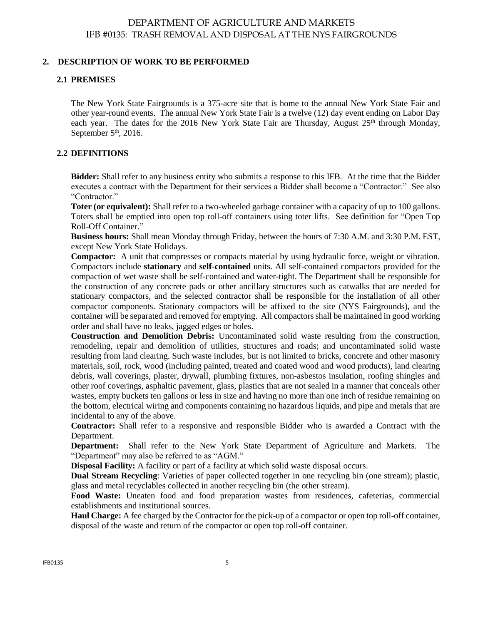#### <span id="page-4-1"></span><span id="page-4-0"></span>**2. DESCRIPTION OF WORK TO BE PERFORMED**

#### **2.1 PREMISES**

The New York State Fairgrounds is a 375-acre site that is home to the annual New York State Fair and other year-round events. The annual New York State Fair is a twelve (12) day event ending on Labor Day each year. The dates for the 2016 New York State Fair are Thursday, August  $25<sup>th</sup>$  through Monday, September  $5<sup>th</sup>$ , 2016.

#### **2.2 DEFINITIONS**

**Bidder:** Shall refer to any business entity who submits a response to this IFB. At the time that the Bidder executes a contract with the Department for their services a Bidder shall become a "Contractor." See also "Contractor."

**Toter (or equivalent):** Shall refer to a two-wheeled garbage container with a capacity of up to 100 gallons. Toters shall be emptied into open top roll-off containers using toter lifts. See definition for "Open Top Roll-Off Container."

**Business hours:** Shall mean Monday through Friday, between the hours of 7:30 A.M. and 3:30 P.M. EST, except New York State Holidays.

**Compactor:** A unit that compresses or compacts material by using hydraulic force, weight or vibration. Compactors include **stationary** and **self-contained** units. All self-contained compactors provided for the compaction of wet waste shall be self-contained and water-tight. The Department shall be responsible for the construction of any concrete pads or other ancillary structures such as catwalks that are needed for stationary compactors, and the selected contractor shall be responsible for the installation of all other compactor components. Stationary compactors will be affixed to the site (NYS Fairgrounds), and the container will be separated and removed for emptying. All compactors shall be maintained in good working order and shall have no leaks, jagged edges or holes.

**Construction and Demolition Debris:** Uncontaminated solid waste resulting from the construction, remodeling, repair and demolition of utilities, structures and roads; and uncontaminated solid waste resulting from land clearing. Such waste includes, but is not limited to bricks, concrete and other masonry materials, soil, rock, wood (including painted, treated and coated wood and wood products), land clearing debris, wall coverings, plaster, drywall, plumbing fixtures, non-asbestos insulation, roofing shingles and other roof coverings, asphaltic pavement, glass, plastics that are not sealed in a manner that conceals other wastes, empty buckets ten gallons or less in size and having no more than one inch of residue remaining on the bottom, electrical wiring and components containing no hazardous liquids, and pipe and metals that are incidental to any of the above.

**Contractor:** Shall refer to a responsive and responsible Bidder who is awarded a Contract with the Department.

**Department:** Shall refer to the New York State Department of Agriculture and Markets. The "Department" may also be referred to as "AGM."

**Disposal Facility:** A facility or part of a facility at which solid waste disposal occurs.

**Dual Stream Recycling**: Varieties of paper collected together in one recycling bin (one stream); plastic, glass and metal recyclables collected in another recycling bin (the other stream).

**Food Waste:** Uneaten food and food preparation wastes from residences, cafeterias, commercial establishments and institutional sources.

**Haul Charge:** A fee charged by the Contractor for the pick-up of a compactor or open top roll-off container, disposal of the waste and return of the compactor or open top roll-off container.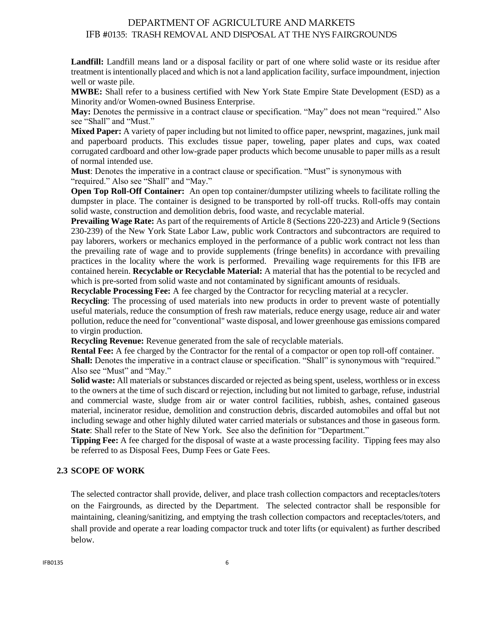**Landfill:** Landfill means land or a disposal facility or part of one where solid waste or its residue after treatment is intentionally placed and which is not a land application facility, surface impoundment, injection well or waste pile.

**MWBE:** Shall refer to a business certified with New York State Empire State Development (ESD) as a Minority and/or Women-owned Business Enterprise.

**May:** Denotes the permissive in a contract clause or specification. "May" does not mean "required." Also see "Shall" and "Must."

**Mixed Paper:** A variety of paper including but not limited to office paper, newsprint, magazines, junk mail and paperboard products. This excludes tissue paper, toweling, paper plates and cups, wax coated corrugated cardboard and other low-grade paper products which become unusable to paper mills as a result of normal intended use.

**Must**: Denotes the imperative in a contract clause or specification. "Must" is synonymous with "required." Also see "Shall" and "May."

**Open Top Roll-Off Container:** An open top container/dumpster utilizing wheels to facilitate rolling the dumpster in place. The container is designed to be transported by roll-off trucks. Roll-offs may contain solid waste, construction and demolition debris, food waste, and recyclable material.

**Prevailing Wage Rate:** As part of the requirements of Article 8 (Sections 220-223) and Article 9 (Sections 230-239) of the New York State Labor Law, public work Contractors and subcontractors are required to pay laborers, workers or mechanics employed in the performance of a public work contract not less than the prevailing rate of wage and to provide supplements (fringe benefits) in accordance with prevailing practices in the locality where the work is performed. Prevailing wage requirements for this IFB are contained herein. **Recyclable or Recyclable Material:** A material that has the potential to be recycled and which is pre-sorted from solid waste and not contaminated by significant amounts of residuals.

**Recyclable Processing Fee:** A fee charged by the Contractor for recycling material at a recycler.

**Recycling**: The processing of used materials into new products in order to prevent waste of potentially useful materials, reduce the consumption of fresh raw materials, reduce energy usage, reduce air and water pollution, reduce the need for "conventional" waste disposal, and lower greenhouse gas emissions compared to virgin production.

**Recycling Revenue:** Revenue generated from the sale of recyclable materials.

**Rental Fee:** A fee charged by the Contractor for the rental of a compactor or open top roll-off container.

**Shall:** Denotes the imperative in a contract clause or specification. "Shall" is synonymous with "required." Also see "Must" and "May."

**Solid waste:** All materials or substances discarded or rejected as being spent, useless, worthless or in excess to the owners at the time of such discard or rejection, including but not limited to garbage, refuse, industrial and commercial waste, sludge from air or water control facilities, rubbish, ashes, contained gaseous material, incinerator residue, demolition and construction debris, discarded automobiles and offal but not including sewage and other highly diluted water carried materials or substances and those in gaseous form. **State**: Shall refer to the State of New York. See also the definition for "Department."

**Tipping Fee:** A fee charged for the disposal of waste at a waste processing facility. Tipping fees may also be referred to as Disposal Fees, Dump Fees or Gate Fees.

## <span id="page-5-0"></span>**2.3 SCOPE OF WORK**

The selected contractor shall provide, deliver, and place trash collection compactors and receptacles/toters on the Fairgrounds, as directed by the Department. The selected contractor shall be responsible for maintaining, cleaning/sanitizing, and emptying the trash collection compactors and receptacles/toters, and shall provide and operate a rear loading compactor truck and toter lifts (or equivalent) as further described below.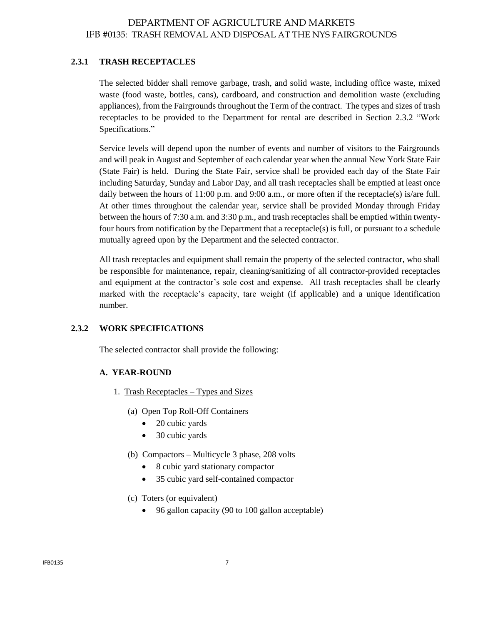#### **2.3.1 TRASH RECEPTACLES**

The selected bidder shall remove garbage, trash, and solid waste, including office waste, mixed waste (food waste, bottles, cans), cardboard, and construction and demolition waste (excluding appliances), from the Fairgrounds throughout the Term of the contract. The types and sizes of trash receptacles to be provided to the Department for rental are described in Section 2.3.2 "Work Specifications."

Service levels will depend upon the number of events and number of visitors to the Fairgrounds and will peak in August and September of each calendar year when the annual New York State Fair (State Fair) is held. During the State Fair, service shall be provided each day of the State Fair including Saturday, Sunday and Labor Day, and all trash receptacles shall be emptied at least once daily between the hours of 11:00 p.m. and 9:00 a.m., or more often if the receptacle(s) is/are full. At other times throughout the calendar year, service shall be provided Monday through Friday between the hours of 7:30 a.m. and 3:30 p.m., and trash receptacles shall be emptied within twentyfour hours from notification by the Department that a receptacle(s) is full, or pursuant to a schedule mutually agreed upon by the Department and the selected contractor.

All trash receptacles and equipment shall remain the property of the selected contractor, who shall be responsible for maintenance, repair, cleaning/sanitizing of all contractor-provided receptacles and equipment at the contractor's sole cost and expense. All trash receptacles shall be clearly marked with the receptacle's capacity, tare weight (if applicable) and a unique identification number.

#### **2.3.2 WORK SPECIFICATIONS**

The selected contractor shall provide the following:

#### **A. YEAR-ROUND**

- 1.Trash Receptacles Types and Sizes
	- (a) Open Top Roll-Off Containers
		- 20 cubic yards
		- 30 cubic yards
	- (b) Compactors Multicycle 3 phase, 208 volts
		- 8 cubic yard stationary compactor
		- 35 cubic yard self-contained compactor
	- (c) Toters (or equivalent)
		- 96 gallon capacity (90 to 100 gallon acceptable)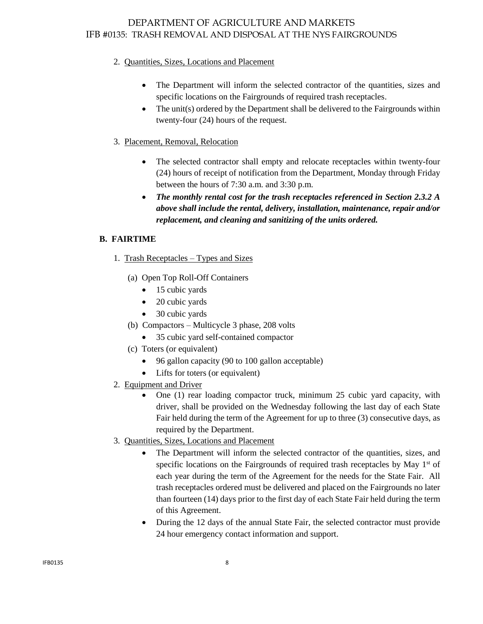## 2.Quantities, Sizes, Locations and Placement

- The Department will inform the selected contractor of the quantities, sizes and specific locations on the Fairgrounds of required trash receptacles.
- The unit(s) ordered by the Department shall be delivered to the Fairgrounds within twenty-four (24) hours of the request.

## 3. Placement, Removal, Relocation

- The selected contractor shall empty and relocate receptacles within twenty-four (24) hours of receipt of notification from the Department, Monday through Friday between the hours of 7:30 a.m. and 3:30 p.m.
- *The monthly rental cost for the trash receptacles referenced in Section 2.3.2 A above shall include the rental, delivery, installation, maintenance, repair and/or replacement, and cleaning and sanitizing of the units ordered.*

## **B. FAIRTIME**

- 1.Trash Receptacles Types and Sizes
	- (a) Open Top Roll-Off Containers
		- 15 cubic yards
		- 20 cubic yards
		- 30 cubic vards
	- (b) Compactors Multicycle 3 phase, 208 volts
		- 35 cubic yard self-contained compactor
	- (c) Toters (or equivalent)
		- 96 gallon capacity (90 to 100 gallon acceptable)
		- Lifts for toters (or equivalent)
- 2. Equipment and Driver
	- One (1) rear loading compactor truck, minimum 25 cubic yard capacity, with driver, shall be provided on the Wednesday following the last day of each State Fair held during the term of the Agreement for up to three (3) consecutive days, as required by the Department.
- 3.Quantities, Sizes, Locations and Placement
	- The Department will inform the selected contractor of the quantities, sizes, and specific locations on the Fairgrounds of required trash receptacles by May  $1<sup>st</sup>$  of each year during the term of the Agreement for the needs for the State Fair. All trash receptacles ordered must be delivered and placed on the Fairgrounds no later than fourteen (14) days prior to the first day of each State Fair held during the term of this Agreement.
	- During the 12 days of the annual State Fair, the selected contractor must provide 24 hour emergency contact information and support.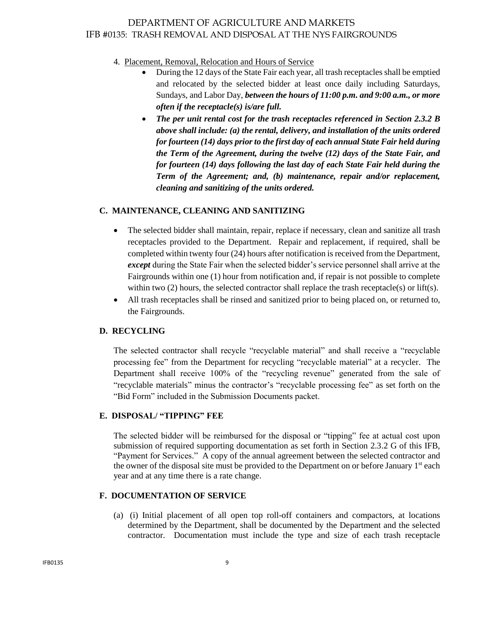#### 4. Placement, Removal, Relocation and Hours of Service

- During the 12 days of the State Fair each year, all trash receptacles shall be emptied and relocated by the selected bidder at least once daily including Saturdays, Sundays, and Labor Day, *between the hours of 11:00 p.m. and 9:00 a.m., or more often if the receptacle(s) is/are full.*
- *The per unit rental cost for the trash receptacles referenced in Section 2.3.2 B above shall include: (a) the rental, delivery, and installation of the units ordered for fourteen (14) days prior to the first day of each annual State Fair held during the Term of the Agreement, during the twelve (12) days of the State Fair, and for fourteen (14) days following the last day of each State Fair held during the Term of the Agreement; and, (b) maintenance, repair and/or replacement, cleaning and sanitizing of the units ordered.*

#### **C. MAINTENANCE, CLEANING AND SANITIZING**

- The selected bidder shall maintain, repair, replace if necessary, clean and sanitize all trash receptacles provided to the Department. Repair and replacement, if required, shall be completed within twenty four (24) hours after notification is received from the Department, *except* during the State Fair when the selected bidder's service personnel shall arrive at the Fairgrounds within one (1) hour from notification and, if repair is not possible to complete within two (2) hours, the selected contractor shall replace the trash receptacle(s) or lift(s).
- All trash receptacles shall be rinsed and sanitized prior to being placed on, or returned to, the Fairgrounds.

#### **D. RECYCLING**

The selected contractor shall recycle "recyclable material" and shall receive a "recyclable processing fee" from the Department for recycling "recyclable material" at a recycler. The Department shall receive 100% of the "recycling revenue" generated from the sale of "recyclable materials" minus the contractor's "recyclable processing fee" as set forth on the "Bid Form" included in the Submission Documents packet.

## **E. DISPOSAL/ "TIPPING" FEE**

The selected bidder will be reimbursed for the disposal or "tipping" fee at actual cost upon submission of required supporting documentation as set forth in Section 2.3.2 G of this IFB, "Payment for Services." A copy of the annual agreement between the selected contractor and the owner of the disposal site must be provided to the Department on or before January 1<sup>st</sup> each year and at any time there is a rate change.

## **F. DOCUMENTATION OF SERVICE**

(a) (i) Initial placement of all open top roll-off containers and compactors, at locations determined by the Department, shall be documented by the Department and the selected contractor. Documentation must include the type and size of each trash receptacle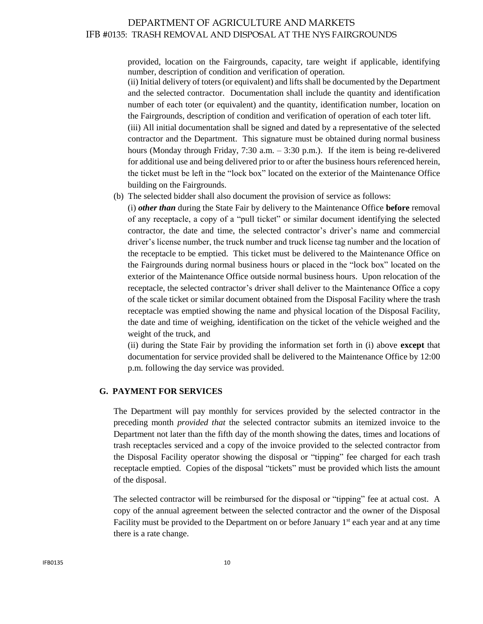provided, location on the Fairgrounds, capacity, tare weight if applicable, identifying number, description of condition and verification of operation.

(ii) Initial delivery of toters (or equivalent) and lifts shall be documented by the Department and the selected contractor. Documentation shall include the quantity and identification number of each toter (or equivalent) and the quantity, identification number, location on the Fairgrounds, description of condition and verification of operation of each toter lift.

(iii) All initial documentation shall be signed and dated by a representative of the selected contractor and the Department. This signature must be obtained during normal business hours (Monday through Friday, 7:30 a.m. – 3:30 p.m.). If the item is being re-delivered for additional use and being delivered prior to or after the business hours referenced herein, the ticket must be left in the "lock box" located on the exterior of the Maintenance Office building on the Fairgrounds.

(b) The selected bidder shall also document the provision of service as follows:

(i) *other than* during the State Fair by delivery to the Maintenance Office **before** removal of any receptacle, a copy of a "pull ticket" or similar document identifying the selected contractor, the date and time, the selected contractor's driver's name and commercial driver's license number, the truck number and truck license tag number and the location of the receptacle to be emptied. This ticket must be delivered to the Maintenance Office on the Fairgrounds during normal business hours or placed in the "lock box" located on the exterior of the Maintenance Office outside normal business hours. Upon relocation of the receptacle, the selected contractor's driver shall deliver to the Maintenance Office a copy of the scale ticket or similar document obtained from the Disposal Facility where the trash receptacle was emptied showing the name and physical location of the Disposal Facility, the date and time of weighing, identification on the ticket of the vehicle weighed and the weight of the truck, and

(ii) during the State Fair by providing the information set forth in (i) above **except** that documentation for service provided shall be delivered to the Maintenance Office by 12:00 p.m. following the day service was provided.

#### **G. PAYMENT FOR SERVICES**

The Department will pay monthly for services provided by the selected contractor in the preceding month *provided that* the selected contractor submits an itemized invoice to the Department not later than the fifth day of the month showing the dates, times and locations of trash receptacles serviced and a copy of the invoice provided to the selected contractor from the Disposal Facility operator showing the disposal or "tipping" fee charged for each trash receptacle emptied. Copies of the disposal "tickets" must be provided which lists the amount of the disposal.

The selected contractor will be reimbursed for the disposal or "tipping" fee at actual cost. A copy of the annual agreement between the selected contractor and the owner of the Disposal Facility must be provided to the Department on or before January  $1<sup>st</sup>$  each year and at any time there is a rate change.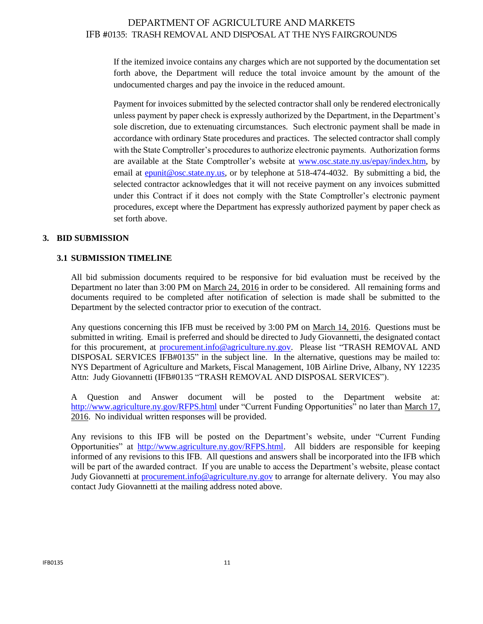If the itemized invoice contains any charges which are not supported by the documentation set forth above, the Department will reduce the total invoice amount by the amount of the undocumented charges and pay the invoice in the reduced amount.

Payment for invoices submitted by the selected contractor shall only be rendered electronically unless payment by paper check is expressly authorized by the Department, in the Department's sole discretion, due to extenuating circumstances. Such electronic payment shall be made in accordance with ordinary State procedures and practices. The selected contractor shall comply with the State Comptroller's procedures to authorize electronic payments. Authorization forms are available at the State Comptroller's website at [www.osc.state.ny.us/epay/index.htm,](http://www.osc.state.ny.us/epay/index.htm) by email at  $\frac{e$  punit @osc.state.ny.us, or by telephone at 518-474-4032. By submitting a bid, the selected contractor acknowledges that it will not receive payment on any invoices submitted under this Contract if it does not comply with the State Comptroller's electronic payment procedures, except where the Department has expressly authorized payment by paper check as set forth above.

## <span id="page-10-0"></span>**3. BID SUBMISSION**

## <span id="page-10-1"></span>**3.1 SUBMISSION TIMELINE**

All bid submission documents required to be responsive for bid evaluation must be received by the Department no later than 3:00 PM on March 24, 2016 in order to be considered. All remaining forms and documents required to be completed after notification of selection is made shall be submitted to the Department by the selected contractor prior to execution of the contract.

Any questions concerning this IFB must be received by 3:00 PM on March 14, 2016. Questions must be submitted in writing. Email is preferred and should be directed to Judy Giovannetti, the designated contact for this procurement, at **procurement.info@agriculture.ny.gov**. Please list "TRASH REMOVAL AND DISPOSAL SERVICES IFB#0135" in the subject line. In the alternative, questions may be mailed to: NYS Department of Agriculture and Markets, Fiscal Management, 10B Airline Drive, Albany, NY 12235 Attn: Judy Giovannetti (IFB#0135 "TRASH REMOVAL AND DISPOSAL SERVICES").

A Question and Answer document will be posted to the Department website at: <http://www.agriculture.ny.gov/RFPS.html> under "Current Funding Opportunities" no later than March 17, 2016. No individual written responses will be provided.

Any revisions to this IFB will be posted on the Department's website, under "Current Funding Opportunities" at [http://www.agriculture.ny.gov/RFPS.html.](http://www.agriculture.ny.gov/RFPS.html) All bidders are responsible for keeping informed of any revisions to this IFB. All questions and answers shall be incorporated into the IFB which will be part of the awarded contract. If you are unable to access the Department's website, please contact Judy Giovannetti at [procurement.info@agriculture.ny.gov](mailto:procurement.info@agriculture.ny.gov) to arrange for alternate delivery. You may also contact Judy Giovannetti at the mailing address noted above.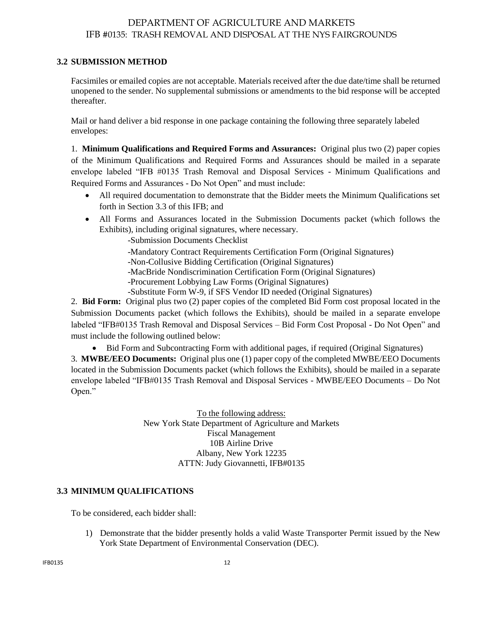## <span id="page-11-0"></span>**3.2 SUBMISSION METHOD**

Facsimiles or emailed copies are not acceptable. Materials received after the due date/time shall be returned unopened to the sender. No supplemental submissions or amendments to the bid response will be accepted thereafter.

Mail or hand deliver a bid response in one package containing the following three separately labeled envelopes:

1. **Minimum Qualifications and Required Forms and Assurances:** Original plus two (2) paper copies of the Minimum Qualifications and Required Forms and Assurances should be mailed in a separate envelope labeled "IFB #0135 Trash Removal and Disposal Services - Minimum Qualifications and Required Forms and Assurances - Do Not Open" and must include:

- All required documentation to demonstrate that the Bidder meets the Minimum Qualifications set forth in Section 3.3 of this IFB; and
- All Forms and Assurances located in the Submission Documents packet (which follows the Exhibits), including original signatures, where necessary.
	- -Submission Documents Checklist
	- -Mandatory Contract Requirements Certification Form (Original Signatures)
	- -Non-Collusive Bidding Certification (Original Signatures)
	- -MacBride Nondiscrimination Certification Form (Original Signatures)
	- -Procurement Lobbying Law Forms (Original Signatures)
	- -Substitute Form W-9, if SFS Vendor ID needed (Original Signatures)

2. **Bid Form:** Original plus two (2) paper copies of the completed Bid Form cost proposal located in the Submission Documents packet (which follows the Exhibits), should be mailed in a separate envelope labeled "IFB#0135 Trash Removal and Disposal Services – Bid Form Cost Proposal - Do Not Open" and must include the following outlined below:

Bid Form and Subcontracting Form with additional pages, if required (Original Signatures)

3. **MWBE/EEO Documents:** Original plus one (1) paper copy of the completed MWBE/EEO Documents located in the Submission Documents packet (which follows the Exhibits), should be mailed in a separate envelope labeled "IFB#0135 Trash Removal and Disposal Services - MWBE/EEO Documents – Do Not Open."

> To the following address: New York State Department of Agriculture and Markets Fiscal Management 10B Airline Drive Albany, New York 12235 ATTN: Judy Giovannetti, IFB#0135

## <span id="page-11-1"></span>**3.3 MINIMUM QUALIFICATIONS**

To be considered, each bidder shall:

1) Demonstrate that the bidder presently holds a valid Waste Transporter Permit issued by the New York State Department of Environmental Conservation (DEC).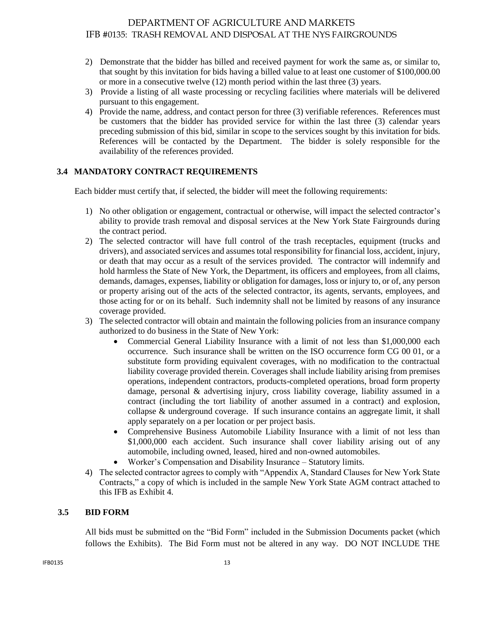- 2) Demonstrate that the bidder has billed and received payment for work the same as, or similar to, that sought by this invitation for bids having a billed value to at least one customer of \$100,000.00 or more in a consecutive twelve (12) month period within the last three (3) years.
- 3) Provide a listing of all waste processing or recycling facilities where materials will be delivered pursuant to this engagement.
- 4) Provide the name, address, and contact person for three (3) verifiable references. References must be customers that the bidder has provided service for within the last three (3) calendar years preceding submission of this bid, similar in scope to the services sought by this invitation for bids. References will be contacted by the Department. The bidder is solely responsible for the availability of the references provided.

## <span id="page-12-0"></span>**3.4 MANDATORY CONTRACT REQUIREMENTS**

Each bidder must certify that, if selected, the bidder will meet the following requirements:

- 1) No other obligation or engagement, contractual or otherwise, will impact the selected contractor's ability to provide trash removal and disposal services at the New York State Fairgrounds during the contract period.
- 2) The selected contractor will have full control of the trash receptacles, equipment (trucks and drivers), and associated services and assumes total responsibility for financial loss, accident, injury, or death that may occur as a result of the services provided. The contractor will indemnify and hold harmless the State of New York, the Department, its officers and employees, from all claims, demands, damages, expenses, liability or obligation for damages, loss or injury to, or of, any person or property arising out of the acts of the selected contractor, its agents, servants, employees, and those acting for or on its behalf. Such indemnity shall not be limited by reasons of any insurance coverage provided.
- 3) The selected contractor will obtain and maintain the following policies from an insurance company authorized to do business in the State of New York:
	- Commercial General Liability Insurance with a limit of not less than \$1,000,000 each occurrence. Such insurance shall be written on the ISO occurrence form CG 00 01, or a substitute form providing equivalent coverages, with no modification to the contractual liability coverage provided therein. Coverages shall include liability arising from premises operations, independent contractors, products-completed operations, broad form property damage, personal & advertising injury, cross liability coverage, liability assumed in a contract (including the tort liability of another assumed in a contract) and explosion, collapse & underground coverage. If such insurance contains an aggregate limit, it shall apply separately on a per location or per project basis.
	- Comprehensive Business Automobile Liability Insurance with a limit of not less than \$1,000,000 each accident. Such insurance shall cover liability arising out of any automobile, including owned, leased, hired and non-owned automobiles.
	- Worker's Compensation and Disability Insurance Statutory limits.
- 4) The selected contractor agrees to comply with "Appendix A, Standard Clauses for New York State Contracts," a copy of which is included in the sample New York State AGM contract attached to this IFB as Exhibit 4.

#### <span id="page-12-1"></span> **3.5 BID FORM**

All bids must be submitted on the "Bid Form" included in the Submission Documents packet (which follows the Exhibits). The Bid Form must not be altered in any way. DO NOT INCLUDE THE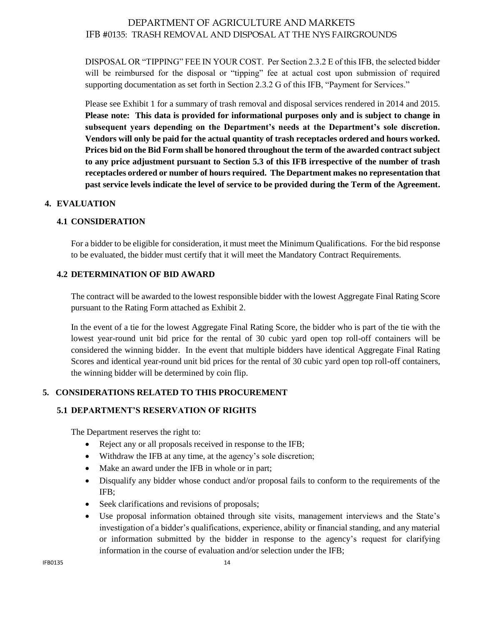DISPOSAL OR "TIPPING" FEE IN YOUR COST. Per Section 2.3.2 E of this IFB, the selected bidder will be reimbursed for the disposal or "tipping" fee at actual cost upon submission of required supporting documentation as set forth in Section 2.3.2 G of this IFB, "Payment for Services."

Please see Exhibit 1 for a summary of trash removal and disposal services rendered in 2014 and 2015. **Please note: This data is provided for informational purposes only and is subject to change in subsequent years depending on the Department's needs at the Department's sole discretion. Vendors will only be paid for the actual quantity of trash receptacles ordered and hours worked. Prices bid on the Bid Form shall be honored throughout the term of the awarded contract subject to any price adjustment pursuant to Section 5.3 of this IFB irrespective of the number of trash receptacles ordered or number of hours required. The Department makes no representation that past service levels indicate the level of service to be provided during the Term of the Agreement.**

## <span id="page-13-1"></span><span id="page-13-0"></span>**4. EVALUATION**

## **4.1 CONSIDERATION**

For a bidder to be eligible for consideration, it must meet the Minimum Qualifications. For the bid response to be evaluated, the bidder must certify that it will meet the Mandatory Contract Requirements.

## <span id="page-13-2"></span>**4.2 DETERMINATION OF BID AWARD**

The contract will be awarded to the lowest responsible bidder with the lowest Aggregate Final Rating Score pursuant to the Rating Form attached as Exhibit 2.

In the event of a tie for the lowest Aggregate Final Rating Score, the bidder who is part of the tie with the lowest year-round unit bid price for the rental of 30 cubic yard open top roll-off containers will be considered the winning bidder. In the event that multiple bidders have identical Aggregate Final Rating Scores and identical year-round unit bid prices for the rental of 30 cubic yard open top roll-off containers, the winning bidder will be determined by coin flip.

## <span id="page-13-3"></span>**5. CONSIDERATIONS RELATED TO THIS PROCUREMENT**

#### **5.1 DEPARTMENT'S RESERVATION OF RIGHTS**

The Department reserves the right to:

- <span id="page-13-4"></span>• Reject any or all proposals received in response to the IFB;
- Withdraw the IFB at any time, at the agency's sole discretion;
- Make an award under the IFB in whole or in part;
- Disqualify any bidder whose conduct and/or proposal fails to conform to the requirements of the IFB;
- Seek clarifications and revisions of proposals;
- Use proposal information obtained through site visits, management interviews and the State's investigation of a bidder's qualifications, experience, ability or financial standing, and any material or information submitted by the bidder in response to the agency's request for clarifying information in the course of evaluation and/or selection under the IFB;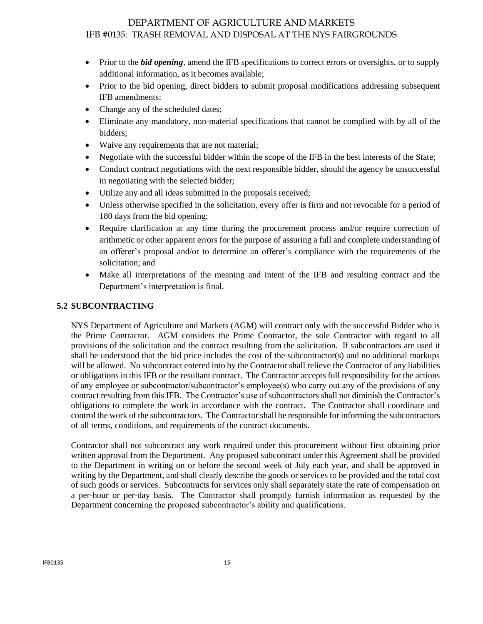- Prior to the *bid opening*, amend the IFB specifications to correct errors or oversights, or to supply additional information, as it becomes available;
- Prior to the bid opening, direct bidders to submit proposal modifications addressing subsequent IFB amendments;
- Change any of the scheduled dates:
- Eliminate any mandatory, non-material specifications that cannot be complied with by all of the bidders;
- Waive any requirements that are not material;
- Negotiate with the successful bidder within the scope of the IFB in the best interests of the State;
- Conduct contract negotiations with the next responsible bidder, should the agency be unsuccessful in negotiating with the selected bidder;
- Utilize any and all ideas submitted in the proposals received;
- Unless otherwise specified in the solicitation, every offer is firm and not revocable for a period of 180 days from the bid opening;
- Require clarification at any time during the procurement process and/or require correction of arithmetic or other apparent errors for the purpose of assuring a full and complete understanding of an offerer's proposal and/or to determine an offerer's compliance with the requirements of the solicitation; and
- Make all interpretations of the meaning and intent of the IFB and resulting contract and the Department's interpretation is final.

## <span id="page-14-0"></span>**5.2 SUBCONTRACTING**

NYS Department of Agriculture and Markets (AGM) will contract only with the successful Bidder who is the Prime Contractor. AGM considers the Prime Contractor, the sole Contractor with regard to all provisions of the solicitation and the contract resulting from the solicitation. If subcontractors are used it shall be understood that the bid price includes the cost of the subcontractor(s) and no additional markups will be allowed. No subcontract entered into by the Contractor shall relieve the Contractor of any liabilities or obligations in this IFB or the resultant contract. The Contractor accepts full responsibility for the actions of any employee or subcontractor/subcontractor's employee(s) who carry out any of the provisions of any contract resulting from this IFB. The Contractor's use of subcontractors shall not diminish the Contractor's obligations to complete the work in accordance with the contract. The Contractor shall coordinate and control the work of the subcontractors. The Contractor shall be responsible for informing the subcontractors of all terms, conditions, and requirements of the contract documents.

Contractor shall not subcontract any work required under this procurement without first obtaining prior written approval from the Department. Any proposed subcontract under this Agreement shall be provided to the Department in writing on or before the second week of July each year, and shall be approved in writing by the Department, and shall clearly describe the goods or services to be provided and the total cost of such goods or services. Subcontracts for services only shall separately state the rate of compensation on a per-hour or per-day basis. The Contractor shall promptly furnish information as requested by the Department concerning the proposed subcontractor's ability and qualifications.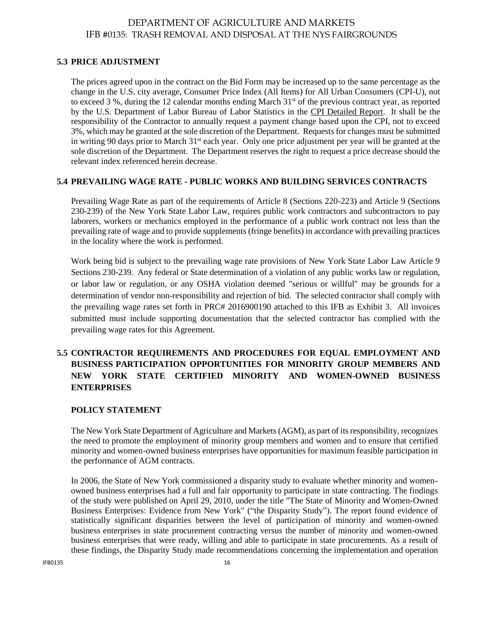## **5.3 PRICE ADJUSTMENT**

The prices agreed upon in the contract on the Bid Form may be increased up to the same percentage as the change in the U.S. city average, Consumer Price Index (All Items) for All Urban Consumers (CPI-U), not to exceed 3 %, during the 12 calendar months ending March  $31<sup>st</sup>$  of the previous contract year, as reported by the U.S. Department of Labor Bureau of Labor Statistics in the CPI Detailed Report. It shall be the responsibility of the Contractor to annually request a payment change based upon the CPI, not to exceed 3%, which may be granted at the sole discretion of the Department. Requests for changes must be submitted in writing 90 days prior to March 31<sup>st</sup> each year. Only one price adjustment per year will be granted at the sole discretion of the Department. The Department reserves the right to request a price decrease should the relevant index referenced herein decrease.

#### **5.4 PREVAILING WAGE RATE - PUBLIC WORKS AND BUILDING SERVICES CONTRACTS**

Prevailing Wage Rate as part of the requirements of Article 8 (Sections 220-223) and Article 9 (Sections 230-239) of the New York State Labor Law, requires public work contractors and subcontractors to pay laborers, workers or mechanics employed in the performance of a public work contract not less than the prevailing rate of wage and to provide supplements (fringe benefits) in accordance with prevailing practices in the locality where the work is performed.

Work being bid is subject to the prevailing wage rate provisions of New York State Labor Law Article 9 Sections 230-239. Any federal or State determination of a violation of any public works law or regulation, or labor law or regulation, or any OSHA violation deemed "serious or willful" may be grounds for a determination of vendor non-responsibility and rejection of bid. The selected contractor shall comply with the prevailing wage rates set forth in PRC# 2016900190 attached to this IFB as Exhibit 3. All invoices submitted must include supporting documentation that the selected contractor has complied with the prevailing wage rates for this Agreement.

## **5.5 CONTRACTOR REQUIREMENTS AND PROCEDURES FOR EQUAL EMPLOYMENT AND BUSINESS PARTICIPATION OPPORTUNITIES FOR MINORITY GROUP MEMBERS AND NEW YORK STATE CERTIFIED MINORITY AND WOMEN-OWNED BUSINESS ENTERPRISES**

## **POLICY STATEMENT**

The New York State Department of Agriculture and Markets(AGM), as part of itsresponsibility, recognizes the need to promote the employment of minority group members and women and to ensure that certified minority and women-owned business enterprises have opportunities for maximum feasible participation in the performance of AGM contracts.

In 2006, the State of New York commissioned a disparity study to evaluate whether minority and womenowned business enterprises had a full and fair opportunity to participate in state contracting. The findings of the study were published on April 29, 2010, under the title "The State of Minority and Women-Owned Business Enterprises: Evidence from New York" ("the Disparity Study"). The report found evidence of statistically significant disparities between the level of participation of minority and women-owned business enterprises in state procurement contracting versus the number of minority and women-owned business enterprises that were ready, willing and able to participate in state procurements. As a result of these findings, the Disparity Study made recommendations concerning the implementation and operation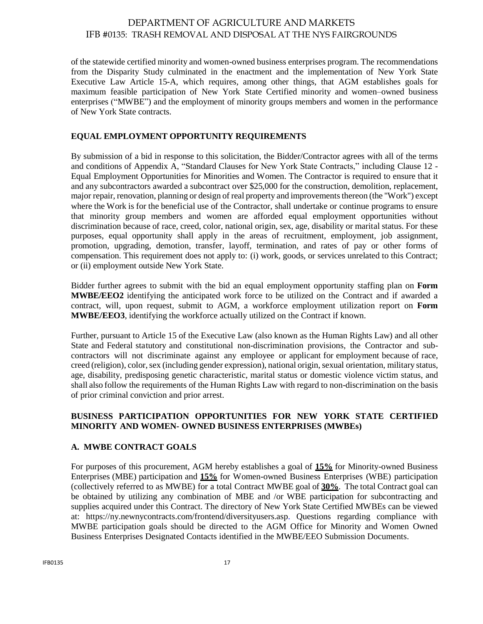of the statewide certified minority and women-owned business enterprises program. The recommendations from the Disparity Study culminated in the enactment and the implementation of New York State Executive Law Article 15-A, which requires, among other things, that AGM establishes goals for maximum feasible participation of New York State Certified minority and women–owned business enterprises ("MWBE") and the employment of minority groups members and women in the performance of New York State contracts.

## **EQUAL EMPLOYMENT OPPORTUNITY REQUIREMENTS**

By submission of a bid in response to this solicitation, the Bidder/Contractor agrees with all of the terms and conditions of Appendix A, "Standard Clauses for New York State Contracts," including Clause 12 - Equal Employment Opportunities for Minorities and Women. The Contractor is required to ensure that it and any subcontractors awarded a subcontract over \$25,000 for the construction, demolition, replacement, major repair, renovation, planning or design of real property and improvementsthereon (the "Work") except where the Work is for the beneficial use of the Contractor, shall undertake or continue programs to ensure that minority group members and women are afforded equal employment opportunities without discrimination because of race, creed, color, national origin, sex, age, disability or marital status. For these purposes, equal opportunity shall apply in the areas of recruitment, employment, job assignment, promotion, upgrading, demotion, transfer, layoff, termination, and rates of pay or other forms of compensation. This requirement does not apply to: (i) work, goods, or services unrelated to this Contract; or (ii) employment outside New York State.

Bidder further agrees to submit with the bid an equal employment opportunity staffing plan on **Form MWBE/EEO2** identifying the anticipated work force to be utilized on the Contract and if awarded a contract, will, upon request, submit to AGM, a workforce employment utilization report on **Form MWBE/EEO3**, identifying the workforce actually utilized on the Contract if known.

Further, pursuant to Article 15 of the Executive Law (also known as the Human Rights Law) and all other State and Federal statutory and constitutional non-discrimination provisions, the Contractor and subcontractors will not discriminate against any employee or applicant for employment because of race, creed (religion), color, sex (including gender expression), national origin, sexual orientation, military status, age, disability, predisposing genetic characteristic, marital status or domestic violence victim status, and shall also follow the requirements of the Human Rights Law with regard to non-discrimination on the basis of prior criminal conviction and prior arrest.

#### **BUSINESS PARTICIPATION OPPORTUNITIES FOR NEW YORK STATE CERTIFIED MINORITY AND WOMEN- OWNED BUSINESS ENTERPRISES (MWBEs)**

## **A. MWBE CONTRACT GOALS**

For purposes of this procurement, AGM hereby establishes a goal of **15%** for Minority-owned Business Enterprises (MBE) participation and **15%** for Women-owned Business Enterprises (WBE) participation (collectively referred to as MWBE) for a total Contract MWBE goal of **30%**. The total Contract goal can be obtained by utilizing any combination of MBE and /or WBE participation for subcontracting and supplies acquired under this Contract. The directory of New York State Certified MWBEs can be viewed at: https://ny.newnycontracts.com/frontend/diversityusers.asp. Questions regarding compliance with MWBE participation goals should be directed to the AGM Office for Minority and Women Owned Business Enterprises Designated Contacts identified in the MWBE/EEO Submission Documents.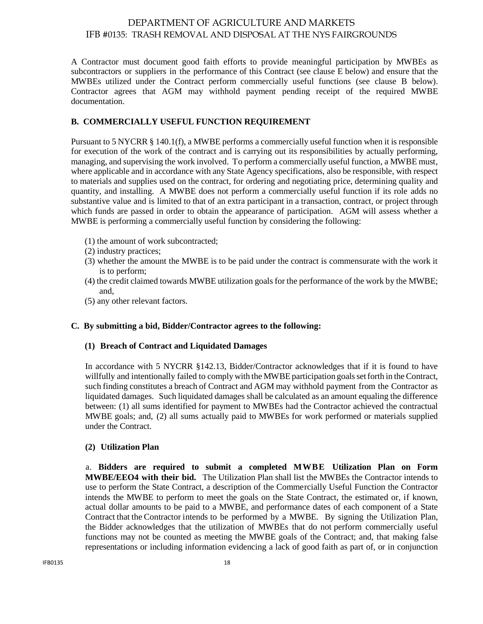A Contractor must document good faith efforts to provide meaningful participation by MWBEs as subcontractors or suppliers in the performance of this Contract (see clause E below) and ensure that the MWBEs utilized under the Contract perform commercially useful functions (see clause B below). Contractor agrees that AGM may withhold payment pending receipt of the required MWBE documentation.

## **B. COMMERCIALLY USEFUL FUNCTION REQUIREMENT**

Pursuant to 5 NYCRR § 140.1(f), a MWBE performs a commercially useful function when it is responsible for execution of the work of the contract and is carrying out its responsibilities by actually performing, managing, and supervising the work involved. To perform a commercially useful function, a MWBE must, where applicable and in accordance with any State Agency specifications, also be responsible, with respect to materials and supplies used on the contract, for ordering and negotiating price, determining quality and quantity, and installing. A MWBE does not perform a commercially useful function if its role adds no substantive value and is limited to that of an extra participant in a transaction, contract, or project through which funds are passed in order to obtain the appearance of participation. AGM will assess whether a MWBE is performing a commercially useful function by considering the following:

- (1) the amount of work subcontracted;
- (2) industry practices;
- (3) whether the amount the MWBE is to be paid under the contract is commensurate with the work it is to perform;
- (4) the credit claimed towards MWBE utilization goals for the performance of the work by the MWBE; and,
- (5) any other relevant factors.

#### **C. By submitting a bid, Bidder/Contractor agrees to the following:**

#### **(1) Breach of Contract and Liquidated Damages**

In accordance with 5 NYCRR §142.13, Bidder/Contractor acknowledges that if it is found to have willfully and intentionally failed to comply with the MWBE participation goals set forth in the Contract, such finding constitutes a breach of Contract and AGM may withhold payment from the Contractor as liquidated damages. Such liquidated damages shall be calculated as an amount equaling the difference between: (1) all sums identified for payment to MWBEs had the Contractor achieved the contractual MWBE goals; and, (2) all sums actually paid to MWBEs for work performed or materials supplied under the Contract.

#### **(2) Utilization Plan**

a. **Bidders are required to submit a completed MWBE Utilization Plan on Form MWBE/EEO4 with their bid.** The Utilization Plan shall list the MWBEs the Contractor intends to use to perform the State Contract, a description of the Commercially Useful Function the Contractor intends the MWBE to perform to meet the goals on the State Contract, the estimated or, if known, actual dollar amounts to be paid to a MWBE, and performance dates of each component of a State Contract that the Contractor intends to be performed by a MWBE. By signing the Utilization Plan, the Bidder acknowledges that the utilization of MWBEs that do not perform commercially useful functions may not be counted as meeting the MWBE goals of the Contract; and, that making false representations or including information evidencing a lack of good faith as part of, or in conjunction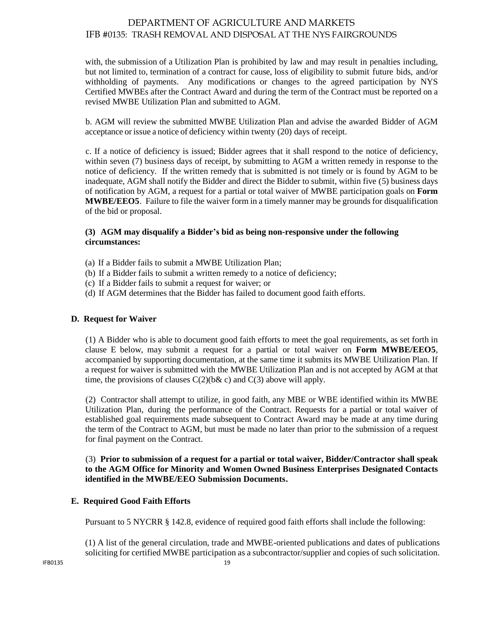with, the submission of a Utilization Plan is prohibited by law and may result in penalties including, but not limited to, termination of a contract for cause, loss of eligibility to submit future bids, and/or withholding of payments. Any modifications or changes to the agreed participation by NYS Certified MWBEs after the Contract Award and during the term of the Contract must be reported on a revised MWBE Utilization Plan and submitted to AGM.

b. AGM will review the submitted MWBE Utilization Plan and advise the awarded Bidder of AGM acceptance or issue a notice of deficiency within twenty (20) days of receipt.

c. If a notice of deficiency is issued; Bidder agrees that it shall respond to the notice of deficiency, within seven (7) business days of receipt, by submitting to AGM a written remedy in response to the notice of deficiency. If the written remedy that is submitted is not timely or is found by AGM to be inadequate, AGM shall notify the Bidder and direct the Bidder to submit, within five (5) business days of notification by AGM, a request for a partial or total waiver of MWBE participation goals on **Form MWBE/EEO5**. Failure to file the waiver form in a timely manner may be grounds for disqualification of the bid or proposal.

## **(3) AGM may disqualify a Bidder's bid as being non-responsive under the following circumstances:**

- (a) If a Bidder fails to submit a MWBE Utilization Plan;
- (b) If a Bidder fails to submit a written remedy to a notice of deficiency;
- (c) If a Bidder fails to submit a request for waiver; or
- (d) If AGM determines that the Bidder has failed to document good faith efforts.

#### **D. Request for Waiver**

(1) A Bidder who is able to document good faith efforts to meet the goal requirements, as set forth in clause E below, may submit a request for a partial or total waiver on **Form MWBE/EEO5**, accompanied by supporting documentation, at the same time it submits its MWBE Utilization Plan. If a request for waiver is submitted with the MWBE Utilization Plan and is not accepted by AGM at that time, the provisions of clauses  $C(2)$ (b& c) and  $C(3)$  above will apply.

(2) Contractor shall attempt to utilize, in good faith, any MBE or WBE identified within its MWBE Utilization Plan, during the performance of the Contract. Requests for a partial or total waiver of established goal requirements made subsequent to Contract Award may be made at any time during the term of the Contract to AGM, but must be made no later than prior to the submission of a request for final payment on the Contract.

#### (3) **Prior to submission of a request for a partial or total waiver, Bidder/Contractor shall speak to the AGM Office for Minority and Women Owned Business Enterprises Designated Contacts identified in the MWBE/EEO Submission Documents.**

#### **E. Required Good Faith Efforts**

Pursuant to 5 NYCRR § 142.8, evidence of required good faith efforts shall include the following:

(1) A list of the general circulation, trade and MWBE-oriented publications and dates of publications soliciting for certified MWBE participation as a subcontractor/supplier and copies of such solicitation.

 $IPB0135$  19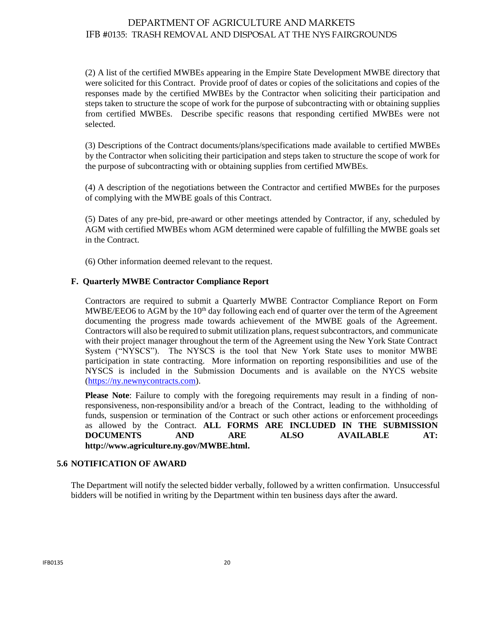(2) A list of the certified MWBEs appearing in the Empire State Development MWBE directory that were solicited for this Contract. Provide proof of dates or copies of the solicitations and copies of the responses made by the certified MWBEs by the Contractor when soliciting their participation and steps taken to structure the scope of work for the purpose of subcontracting with or obtaining supplies from certified MWBEs. Describe specific reasons that responding certified MWBEs were not selected.

(3) Descriptions of the Contract documents/plans/specifications made available to certified MWBEs by the Contractor when soliciting their participation and steps taken to structure the scope of work for the purpose of subcontracting with or obtaining supplies from certified MWBEs.

(4) A description of the negotiations between the Contractor and certified MWBEs for the purposes of complying with the MWBE goals of this Contract.

(5) Dates of any pre-bid, pre-award or other meetings attended by Contractor, if any, scheduled by AGM with certified MWBEs whom AGM determined were capable of fulfilling the MWBE goals set in the Contract.

(6) Other information deemed relevant to the request.

#### **F. Quarterly MWBE Contractor Compliance Report**

Contractors are required to submit a Quarterly MWBE Contractor Compliance Report on Form MWBE/EEO6 to AGM by the  $10<sup>th</sup>$  day following each end of quarter over the term of the Agreement documenting the progress made towards achievement of the MWBE goals of the Agreement. Contractors will also be required to submit utilization plans, request subcontractors, and communicate with their project manager throughout the term of the Agreement using the New York State Contract System ("NYSCS"). The NYSCS is the tool that New York State uses to monitor MWBE participation in state contracting. More information on reporting responsibilities and use of the NYSCS is included in the Submission Documents and is available on the NYCS website [\(https://ny.newnycontracts.com\)](https://ny.newnycontracts.com/).

**Please Note**: Failure to comply with the foregoing requirements may result in a finding of nonresponsiveness, non-responsibility and/or a breach of the Contract, leading to the withholding of funds, suspension or termination of the Contract or such other actions or enforcement proceedings as allowed by the Contract. **ALL FORMS ARE INCLUDED IN THE SUBMISSION DOCUMENTS AND ARE ALSO AVAILABLE AT: http://www.agriculture.ny.gov/MWBE.html.**

#### **5.6 NOTIFICATION OF AWARD**

The Department will notify the selected bidder verbally, followed by a written confirmation. Unsuccessful bidders will be notified in writing by the Department within ten business days after the award.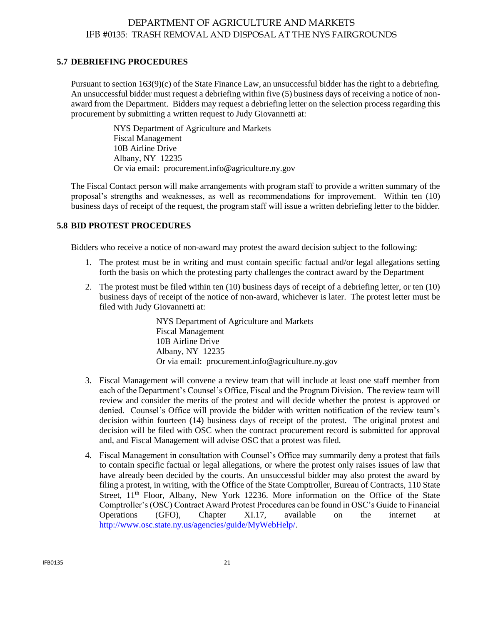#### <span id="page-20-0"></span>**5.7 DEBRIEFING PROCEDURES**

Pursuant to section 163(9)(c) of the State Finance Law, an unsuccessful bidder has the right to a debriefing. An unsuccessful bidder must request a debriefing within five (5) business days of receiving a notice of nonaward from the Department. Bidders may request a debriefing letter on the selection process regarding this procurement by submitting a written request to Judy Giovannetti at:

> NYS Department of Agriculture and Markets Fiscal Management 10B Airline Drive Albany, NY 12235 Or via email: [procurement.info@agriculture.ny.gov](mailto:procurement.info@agriculture.ny.gov)

The Fiscal Contact person will make arrangements with program staff to provide a written summary of the proposal's strengths and weaknesses, as well as recommendations for improvement. Within ten (10) business days of receipt of the request, the program staff will issue a written debriefing letter to the bidder.

## <span id="page-20-1"></span>**5.8 BID PROTEST PROCEDURES**

Bidders who receive a notice of non-award may protest the award decision subject to the following:

- 1. The protest must be in writing and must contain specific factual and/or legal allegations setting forth the basis on which the protesting party challenges the contract award by the Department
- 2. The protest must be filed within ten (10) business days of receipt of a debriefing letter, or ten (10) business days of receipt of the notice of non-award, whichever is later. The protest letter must be filed with Judy Giovannetti at:

NYS Department of Agriculture and Markets Fiscal Management 10B Airline Drive Albany, NY 12235 Or via email: [procurement.info@agriculture.ny.gov](mailto:procurement.info@agriculture.ny.gov)

- 3. Fiscal Management will convene a review team that will include at least one staff member from each of the Department's Counsel's Office, Fiscal and the Program Division. The review team will review and consider the merits of the protest and will decide whether the protest is approved or denied. Counsel's Office will provide the bidder with written notification of the review team's decision within fourteen (14) business days of receipt of the protest. The original protest and decision will be filed with OSC when the contract procurement record is submitted for approval and, and Fiscal Management will advise OSC that a protest was filed.
- <span id="page-20-2"></span>4. Fiscal Management in consultation with Counsel's Office may summarily deny a protest that fails to contain specific factual or legal allegations, or where the protest only raises issues of law that have already been decided by the courts. An unsuccessful bidder may also protest the award by filing a protest, in writing, with the Office of the State Comptroller, Bureau of Contracts, 110 State Street,  $11<sup>th</sup>$  Floor, Albany, New York 12236. More information on the Office of the State Comptroller's (OSC) Contract Award Protest Procedures can be found in OSC's Guide to Financial Operations (GFO), Chapter XI.17, available on the internet at [http://www.osc.state.ny.us/agencies/guide/MyWebHelp/.](http://www.osc.state.ny.us/agencies/guide/MyWebHelp/)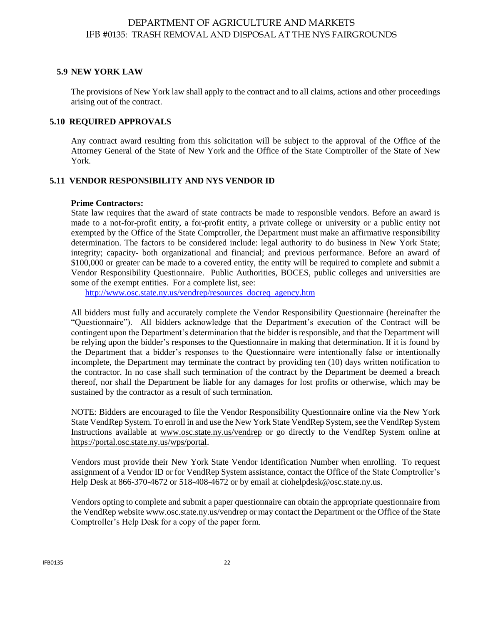## **5.9 NEW YORK LAW**

The provisions of New York law shall apply to the contract and to all claims, actions and other proceedings arising out of the contract.

## <span id="page-21-0"></span>**5.10 REQUIRED APPROVALS**

Any contract award resulting from this solicitation will be subject to the approval of the Office of the Attorney General of the State of New York and the Office of the State Comptroller of the State of New York.

## <span id="page-21-1"></span>**5.11 VENDOR RESPONSIBILITY AND NYS VENDOR ID**

#### **Prime Contractors:**

State law requires that the award of state contracts be made to responsible vendors. Before an award is made to a not-for-profit entity, a for-profit entity, a private college or university or a public entity not exempted by the Office of the State Comptroller, the Department must make an affirmative responsibility determination. The factors to be considered include: legal authority to do business in New York State; integrity; capacity- both organizational and financial; and previous performance. Before an award of \$100,000 or greater can be made to a covered entity, the entity will be required to complete and submit a Vendor Responsibility Questionnaire. Public Authorities, BOCES, public colleges and universities are some of the exempt entities. For a complete list, see:

[http://www.osc.state.ny.us/vendrep/resources\\_docreq\\_agency.htm](http://www.osc.state.ny.us/vendrep/resources_docreq_agency.htm)

All bidders must fully and accurately complete the Vendor Responsibility Questionnaire (hereinafter the "Questionnaire"). All bidders acknowledge that the Department's execution of the Contract will be contingent upon the Department's determination that the bidder is responsible, and that the Department will be relying upon the bidder's responses to the Questionnaire in making that determination. If it is found by the Department that a bidder's responses to the Questionnaire were intentionally false or intentionally incomplete, the Department may terminate the contract by providing ten (10) days written notification to the contractor. In no case shall such termination of the contract by the Department be deemed a breach thereof, nor shall the Department be liable for any damages for lost profits or otherwise, which may be sustained by the contractor as a result of such termination.

NOTE: Bidders are encouraged to file the Vendor Responsibility Questionnaire online via the New York State VendRep System. To enroll in and use the New York State VendRep System, see the VendRep System Instructions available at [www.osc.state.ny.us/vendrep](http://www.osc.state.ny.us/vendrep) or go directly to the VendRep System online at [https://portal.osc.state.ny.us/wps/portal.](https://portal.osc.state.ny.us/wps/portal)

Vendors must provide their New York State Vendor Identification Number when enrolling. To request assignment of a Vendor ID or for VendRep System assistance, contact the Office of the State Comptroller's Help Desk at 866-370-4672 or 518-408-4672 or by email at [ciohelpdesk@osc.state.ny.us.](mailto:ciohelpdesk@osc.state.ny.us)

Vendors opting to complete and submit a paper questionnaire can obtain the appropriate questionnaire from the VendRep website [www.osc.state.ny.us/vendrep](http://www.osc.state.ny.us/vendrep) or may contact the Department or the Office of the State Comptroller's Help Desk for a copy of the paper form.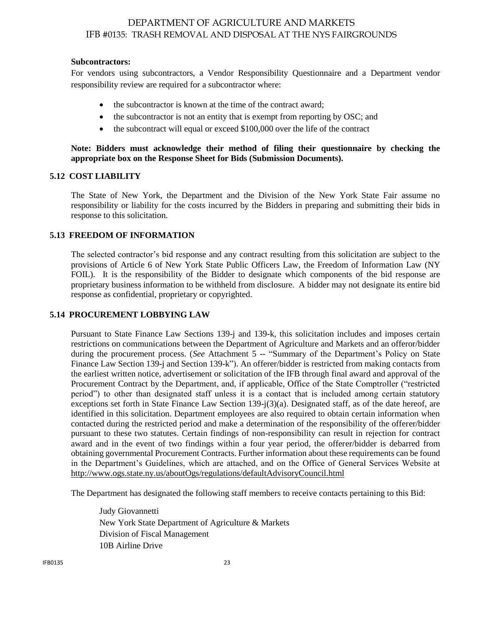#### **Subcontractors:**

For vendors using subcontractors, a Vendor Responsibility Questionnaire and a Department vendor responsibility review are required for a subcontractor where:

- the subcontractor is known at the time of the contract award;
- the subcontractor is not an entity that is exempt from reporting by OSC; and
- the subcontract will equal or exceed \$100,000 over the life of the contract

**Note: Bidders must acknowledge their method of filing their questionnaire by checking the appropriate box on the Response Sheet for Bids (Submission Documents).**

#### <span id="page-22-0"></span>**5.12 COST LIABILITY**

The State of New York, the Department and the Division of the New York State Fair assume no responsibility or liability for the costs incurred by the Bidders in preparing and submitting their bids in response to this solicitation.

#### <span id="page-22-1"></span>**5.13 FREEDOM OF INFORMATION**

The selected contractor's bid response and any contract resulting from this solicitation are subject to the provisions of Article 6 of New York State Public Officers Law, the Freedom of Information Law (NY FOIL). It is the responsibility of the Bidder to designate which components of the bid response are proprietary business information to be withheld from disclosure. A bidder may not designate its entire bid response as confidential, proprietary or copyrighted.

#### <span id="page-22-2"></span>**5.14 PROCUREMENT LOBBYING LAW**

Pursuant to State Finance Law Sections 139-j and 139-k, this solicitation includes and imposes certain restrictions on communications between the Department of Agriculture and Markets and an offeror/bidder during the procurement process. (*See* Attachment 5 -- "Summary of the Department's Policy on State Finance Law Section 139-j and Section 139-k"). An offerer/bidder is restricted from making contacts from the earliest written notice, advertisement or solicitation of the IFB through final award and approval of the Procurement Contract by the Department, and, if applicable, Office of the State Comptroller ("restricted period") to other than designated staff unless it is a contact that is included among certain statutory exceptions set forth in State Finance Law Section 139-j(3)(a). Designated staff, as of the date hereof, are identified in this solicitation. Department employees are also required to obtain certain information when contacted during the restricted period and make a determination of the responsibility of the offerer/bidder pursuant to these two statutes. Certain findings of non-responsibility can result in rejection for contract award and in the event of two findings within a four year period, the offerer/bidder is debarred from obtaining governmental Procurement Contracts. Further information about these requirements can be found in the Department's Guidelines, which are attached, and on the Office of General Services Website at <http://www.ogs.state.ny.us/aboutOgs/regulations/defaultAdvisoryCouncil.html>

The Department has designated the following staff members to receive contacts pertaining to this Bid:

Judy Giovannetti New York State Department of Agriculture & Markets Division of Fiscal Management 10B Airline Drive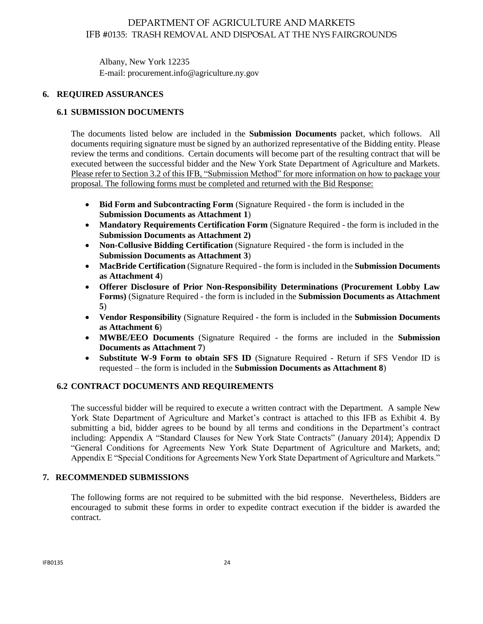Albany, New York 12235 E-mail[: procurement.info@agriculture.ny.gov](mailto:procurement.info@agriculture.ny.gov)

## **6. REQUIRED ASSURANCES**

## **6.1 SUBMISSION DOCUMENTS**

The documents listed below are included in the **Submission Documents** packet, which follows. All documents requiring signature must be signed by an authorized representative of the Bidding entity. Please review the terms and conditions. Certain documents will become part of the resulting contract that will be executed between the successful bidder and the New York State Department of Agriculture and Markets. Please refer to Section 3.2 of this IFB, "Submission Method" for more information on how to package your proposal. The following forms must be completed and returned with the Bid Response:

- **Bid Form and Subcontracting Form** (Signature Required the form is included in the **Submission Documents as Attachment 1**)
- **Mandatory Requirements Certification Form** (Signature Required the form is included in the **Submission Documents as Attachment 2)**
- **Non-Collusive Bidding Certification** (Signature Required the form is included in the **Submission Documents as Attachment 3**)
- **MacBride Certification** (Signature Required the form is included in the **Submission Documents as Attachment 4**)
- **Offerer Disclosure of Prior Non-Responsibility Determinations (Procurement Lobby Law Forms)** (Signature Required - the form is included in the **Submission Documents as Attachment 5**)
- **Vendor Responsibility** (Signature Required the form is included in the **Submission Documents as Attachment 6**)
- **MWBE/EEO Documents** (Signature Required the forms are included in the **Submission Documents as Attachment 7**)
- **Substitute W-9 Form to obtain SFS ID** (Signature Required Return if SFS Vendor ID is requested – the form is included in the **Submission Documents as Attachment 8**)

## <span id="page-23-0"></span>**6.2 CONTRACT DOCUMENTS AND REQUIREMENTS**

The successful bidder will be required to execute a written contract with the Department. A sample New York State Department of Agriculture and Market's contract is attached to this IFB as Exhibit 4. By submitting a bid, bidder agrees to be bound by all terms and conditions in the Department's contract including: Appendix A "Standard Clauses for New York State Contracts" (January 2014); Appendix D "General Conditions for Agreements New York State Department of Agriculture and Markets, and; Appendix E "Special Conditions for Agreements New York State Department of Agriculture and Markets."

#### <span id="page-23-1"></span>**7. RECOMMENDED SUBMISSIONS**

The following forms are not required to be submitted with the bid response. Nevertheless, Bidders are encouraged to submit these forms in order to expedite contract execution if the bidder is awarded the contract.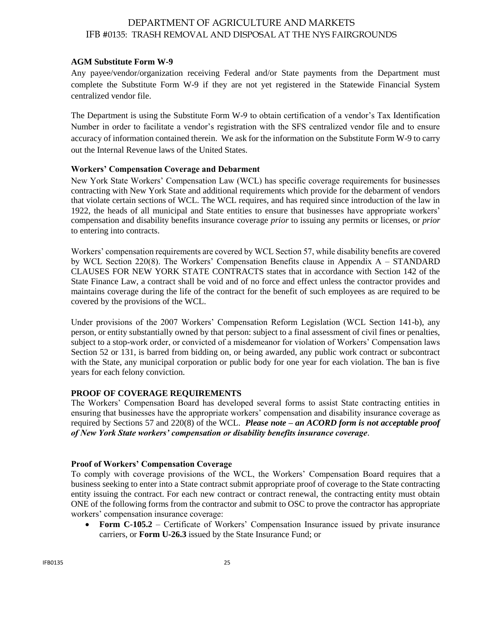#### **AGM Substitute Form W-9**

Any payee/vendor/organization receiving Federal and/or State payments from the Department must complete the Substitute Form W-9 if they are not yet registered in the Statewide Financial System centralized vendor file.

The Department is using the Substitute Form W-9 to obtain certification of a vendor's Tax Identification Number in order to facilitate a vendor's registration with the SFS centralized vendor file and to ensure accuracy of information contained therein. We ask for the information on the Substitute Form W-9 to carry out the Internal Revenue laws of the United States.

#### **Workers' Compensation Coverage and Debarment**

New York State Workers' Compensation Law (WCL) has specific coverage requirements for businesses contracting with New York State and additional requirements which provide for the debarment of vendors that violate certain sections of WCL. The WCL requires, and has required since introduction of the law in 1922, the heads of all municipal and State entities to ensure that businesses have appropriate workers' compensation and disability benefits insurance coverage *prior* to issuing any permits or licenses, or *prior* to entering into contracts.

Workers' compensation requirements are covered by WCL Section 57, while disability benefits are covered by WCL Section 220(8). The Workers' Compensation Benefits clause in Appendix A – STANDARD CLAUSES FOR NEW YORK STATE CONTRACTS states that in accordance with Section 142 of the State Finance Law, a contract shall be void and of no force and effect unless the contractor provides and maintains coverage during the life of the contract for the benefit of such employees as are required to be covered by the provisions of the WCL.

Under provisions of the 2007 Workers' Compensation Reform Legislation (WCL Section 141-b), any person, or entity substantially owned by that person: subject to a final assessment of civil fines or penalties, subject to a stop-work order, or convicted of a misdemeanor for violation of Workers' Compensation laws Section 52 or 131, is barred from bidding on, or being awarded, any public work contract or subcontract with the State, any municipal corporation or public body for one year for each violation. The ban is five years for each felony conviction.

#### **PROOF OF COVERAGE REQUIREMENTS**

The Workers' Compensation Board has developed several forms to assist State contracting entities in ensuring that businesses have the appropriate workers' compensation and disability insurance coverage as required by Sections 57 and 220(8) of the WCL. *Please note – an ACORD form is not acceptable proof of New York State workers' compensation or disability benefits insurance coverage*.

#### **Proof of Workers' Compensation Coverage**

To comply with coverage provisions of the WCL, the Workers' Compensation Board requires that a business seeking to enter into a State contract submit appropriate proof of coverage to the State contracting entity issuing the contract. For each new contract or contract renewal, the contracting entity must obtain ONE of the following forms from the contractor and submit to OSC to prove the contractor has appropriate workers' compensation insurance coverage:

 **Form C-105.2** – Certificate of Workers' Compensation Insurance issued by private insurance carriers, or **Form U-26.3** issued by the State Insurance Fund; or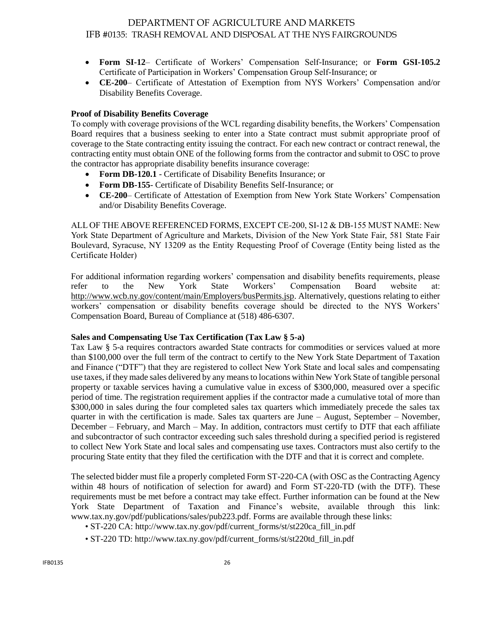- **Form SI-12** Certificate of Workers' Compensation Self-Insurance; or **Form GSI-105.2** Certificate of Participation in Workers' Compensation Group Self-Insurance; or
- **CE-200** Certificate of Attestation of Exemption from NYS Workers' Compensation and/or Disability Benefits Coverage.

## **Proof of Disability Benefits Coverage**

To comply with coverage provisions of the WCL regarding disability benefits, the Workers' Compensation Board requires that a business seeking to enter into a State contract must submit appropriate proof of coverage to the State contracting entity issuing the contract. For each new contract or contract renewal, the contracting entity must obtain ONE of the following forms from the contractor and submit to OSC to prove the contractor has appropriate disability benefits insurance coverage:

- **Form DB-120.1** Certificate of Disability Benefits Insurance; or
- **Form DB-155** Certificate of Disability Benefits Self-Insurance; or
- **CE-200** Certificate of Attestation of Exemption from New York State Workers' Compensation and/or Disability Benefits Coverage.

ALL OF THE ABOVE REFERENCED FORMS, EXCEPT CE-200, SI-12 & DB-155 MUST NAME: New York State Department of Agriculture and Markets, Division of the New York State Fair, 581 State Fair Boulevard, Syracuse, NY 13209 as the Entity Requesting Proof of Coverage (Entity being listed as the Certificate Holder)

For additional information regarding workers' compensation and disability benefits requirements, please refer to the New York State Workers' Compensation Board website at: [http://www.wcb.ny.gov/content/main/Employers/busPermits.jsp.](http://wcb.ny.gov/content/main/Employers/busPermits.jsp) Alternatively, questions relating to either workers' compensation or disability benefits coverage should be directed to the NYS Workers' Compensation Board, Bureau of Compliance at (518) 486-6307.

#### **Sales and Compensating Use Tax Certification (Tax Law § 5-a)**

Tax Law § 5-a requires contractors awarded State contracts for commodities or services valued at more than \$100,000 over the full term of the contract to certify to the New York State Department of Taxation and Finance ("DTF") that they are registered to collect New York State and local sales and compensating use taxes, if they made sales delivered by any means to locations within New York State of tangible personal property or taxable services having a cumulative value in excess of \$300,000, measured over a specific period of time. The registration requirement applies if the contractor made a cumulative total of more than \$300,000 in sales during the four completed sales tax quarters which immediately precede the sales tax quarter in with the certification is made. Sales tax quarters are June – August, September – November, December – February, and March – May. In addition, contractors must certify to DTF that each affiliate and subcontractor of such contractor exceeding such sales threshold during a specified period is registered to collect New York State and local sales and compensating use taxes. Contractors must also certify to the procuring State entity that they filed the certification with the DTF and that it is correct and complete.

The selected bidder must file a properly completed Form ST-220-CA (with OSC as the Contracting Agency within 48 hours of notification of selection for award) and Form ST-220-TD (with the DTF). These requirements must be met before a contract may take effect. Further information can be found at the New York State Department of Taxation and Finance's website, available through this link: www.tax.ny.gov/pdf/publications/sales/pub223.pdf. Forms are available through these links:

- ST-220 CA: http://www.tax.ny.gov/pdf/current\_forms/st/st220ca\_fill\_in.pdf
- ST-220 TD: http://www.tax.ny.gov/pdf/current\_forms/st/st220td\_fill\_in.pdf